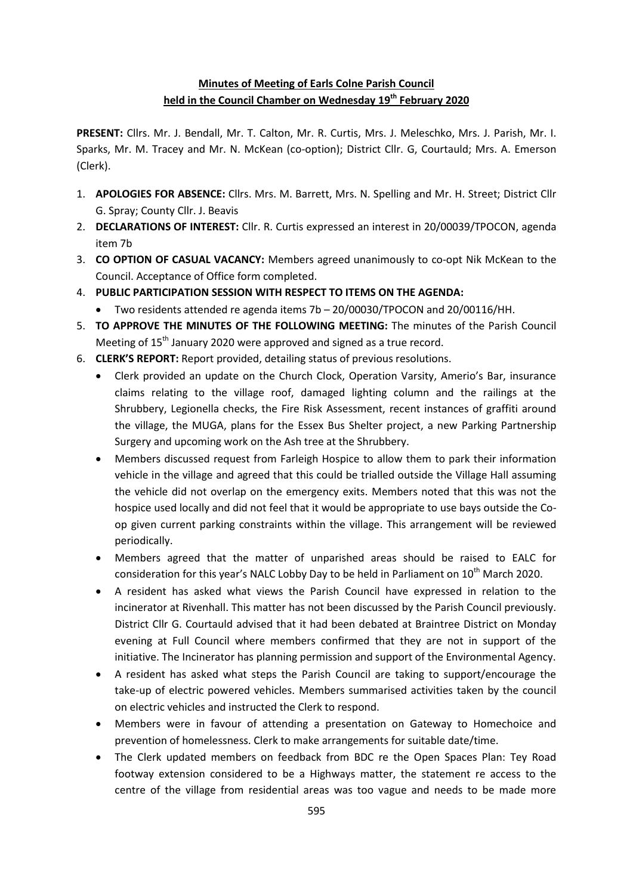# **Minutes of Meeting of Earls Colne Parish Council held in the Council Chamber on Wednesday 19th February 2020**

**PRESENT:** Cllrs. Mr. J. Bendall, Mr. T. Calton, Mr. R. Curtis, Mrs. J. Meleschko, Mrs. J. Parish, Mr. I. Sparks, Mr. M. Tracey and Mr. N. McKean (co-option); District Cllr. G, Courtauld; Mrs. A. Emerson (Clerk).

- 1. **APOLOGIES FOR ABSENCE:** Cllrs. Mrs. M. Barrett, Mrs. N. Spelling and Mr. H. Street; District Cllr G. Spray; County Cllr. J. Beavis
- 2. **DECLARATIONS OF INTEREST:** Cllr. R. Curtis expressed an interest in 20/00039/TPOCON, agenda item 7b
- 3. **CO OPTION OF CASUAL VACANCY:** Members agreed unanimously to co-opt Nik McKean to the Council. Acceptance of Office form completed.
- 4. **PUBLIC PARTICIPATION SESSION WITH RESPECT TO ITEMS ON THE AGENDA:**
	- Two residents attended re agenda items 7b 20/00030/TPOCON and 20/00116/HH.
- 5. **TO APPROVE THE MINUTES OF THE FOLLOWING MEETING:** The minutes of the Parish Council Meeting of 15<sup>th</sup> January 2020 were approved and signed as a true record.
- 6. **CLERK'S REPORT:** Report provided, detailing status of previous resolutions.
	- Clerk provided an update on the Church Clock, Operation Varsity, Amerio's Bar, insurance claims relating to the village roof, damaged lighting column and the railings at the Shrubbery, Legionella checks, the Fire Risk Assessment, recent instances of graffiti around the village, the MUGA, plans for the Essex Bus Shelter project, a new Parking Partnership Surgery and upcoming work on the Ash tree at the Shrubbery.
	- Members discussed request from Farleigh Hospice to allow them to park their information vehicle in the village and agreed that this could be trialled outside the Village Hall assuming the vehicle did not overlap on the emergency exits. Members noted that this was not the hospice used locally and did not feel that it would be appropriate to use bays outside the Coop given current parking constraints within the village. This arrangement will be reviewed periodically.
	- Members agreed that the matter of unparished areas should be raised to EALC for consideration for this year's NALC Lobby Day to be held in Parliament on 10<sup>th</sup> March 2020.
	- A resident has asked what views the Parish Council have expressed in relation to the incinerator at Rivenhall. This matter has not been discussed by the Parish Council previously. District Cllr G. Courtauld advised that it had been debated at Braintree District on Monday evening at Full Council where members confirmed that they are not in support of the initiative. The Incinerator has planning permission and support of the Environmental Agency.
	- A resident has asked what steps the Parish Council are taking to support/encourage the take-up of electric powered vehicles. Members summarised activities taken by the council on electric vehicles and instructed the Clerk to respond.
	- Members were in favour of attending a presentation on Gateway to Homechoice and prevention of homelessness. Clerk to make arrangements for suitable date/time.
	- The Clerk updated members on feedback from BDC re the Open Spaces Plan: Tey Road footway extension considered to be a Highways matter, the statement re access to the centre of the village from residential areas was too vague and needs to be made more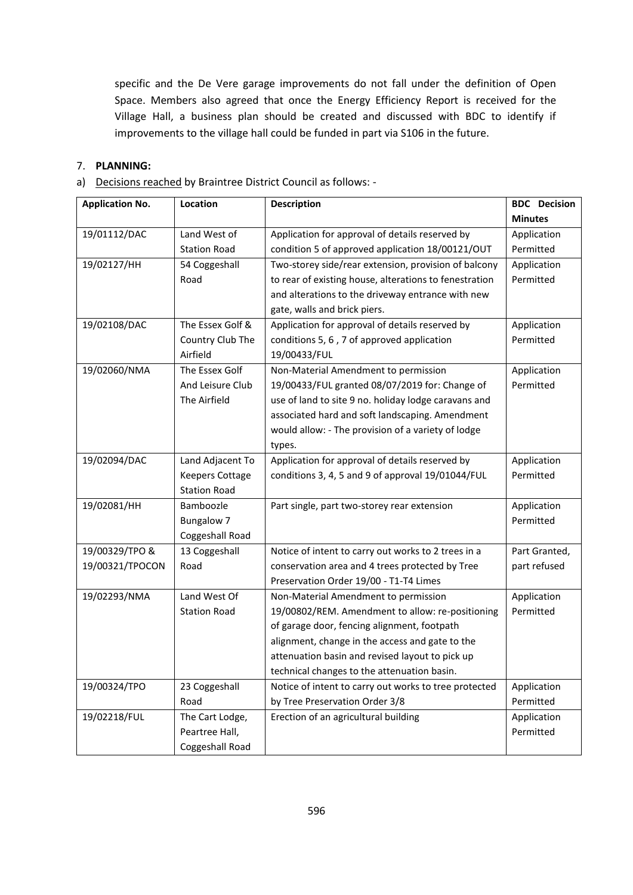specific and the De Vere garage improvements do not fall under the definition of Open Space. Members also agreed that once the Energy Efficiency Report is received for the Village Hall, a business plan should be created and discussed with BDC to identify if improvements to the village hall could be funded in part via S106 in the future.

#### 7. **PLANNING:**

a) Decisions reached by Braintree District Council as follows: -

| <b>Application No.</b> | Location               | <b>Description</b>                                     | <b>BDC</b> Decision |
|------------------------|------------------------|--------------------------------------------------------|---------------------|
|                        |                        |                                                        | <b>Minutes</b>      |
| 19/01112/DAC           | Land West of           | Application for approval of details reserved by        | Application         |
|                        | <b>Station Road</b>    | condition 5 of approved application 18/00121/OUT       | Permitted           |
| 19/02127/HH            | 54 Coggeshall          | Two-storey side/rear extension, provision of balcony   | Application         |
|                        | Road                   | to rear of existing house, alterations to fenestration | Permitted           |
|                        |                        | and alterations to the driveway entrance with new      |                     |
|                        |                        | gate, walls and brick piers.                           |                     |
| 19/02108/DAC           | The Essex Golf &       | Application for approval of details reserved by        | Application         |
|                        | Country Club The       | conditions 5, 6, 7 of approved application             | Permitted           |
|                        | Airfield               | 19/00433/FUL                                           |                     |
| 19/02060/NMA           | The Essex Golf         | Non-Material Amendment to permission                   | Application         |
|                        | And Leisure Club       | 19/00433/FUL granted 08/07/2019 for: Change of         | Permitted           |
|                        | The Airfield           | use of land to site 9 no. holiday lodge caravans and   |                     |
|                        |                        | associated hard and soft landscaping. Amendment        |                     |
|                        |                        | would allow: - The provision of a variety of lodge     |                     |
|                        |                        | types.                                                 |                     |
| 19/02094/DAC           | Land Adjacent To       | Application for approval of details reserved by        | Application         |
|                        | <b>Keepers Cottage</b> | conditions 3, 4, 5 and 9 of approval 19/01044/FUL      | Permitted           |
|                        | <b>Station Road</b>    |                                                        |                     |
| 19/02081/HH            | Bamboozle              | Part single, part two-storey rear extension            | Application         |
|                        | Bungalow 7             |                                                        | Permitted           |
|                        | Coggeshall Road        |                                                        |                     |
| 19/00329/TPO &         | 13 Coggeshall          | Notice of intent to carry out works to 2 trees in a    | Part Granted,       |
| 19/00321/TPOCON        | Road                   | conservation area and 4 trees protected by Tree        | part refused        |
|                        |                        | Preservation Order 19/00 - T1-T4 Limes                 |                     |
| 19/02293/NMA           | Land West Of           | Non-Material Amendment to permission                   | Application         |
|                        | <b>Station Road</b>    | 19/00802/REM. Amendment to allow: re-positioning       | Permitted           |
|                        |                        | of garage door, fencing alignment, footpath            |                     |
|                        |                        | alignment, change in the access and gate to the        |                     |
|                        |                        | attenuation basin and revised layout to pick up        |                     |
|                        |                        | technical changes to the attenuation basin.            |                     |
| 19/00324/TPO           | 23 Coggeshall          | Notice of intent to carry out works to tree protected  | Application         |
|                        | Road                   | by Tree Preservation Order 3/8                         | Permitted           |
| 19/02218/FUL           | The Cart Lodge,        | Erection of an agricultural building                   | Application         |
|                        | Peartree Hall,         |                                                        | Permitted           |
|                        | Coggeshall Road        |                                                        |                     |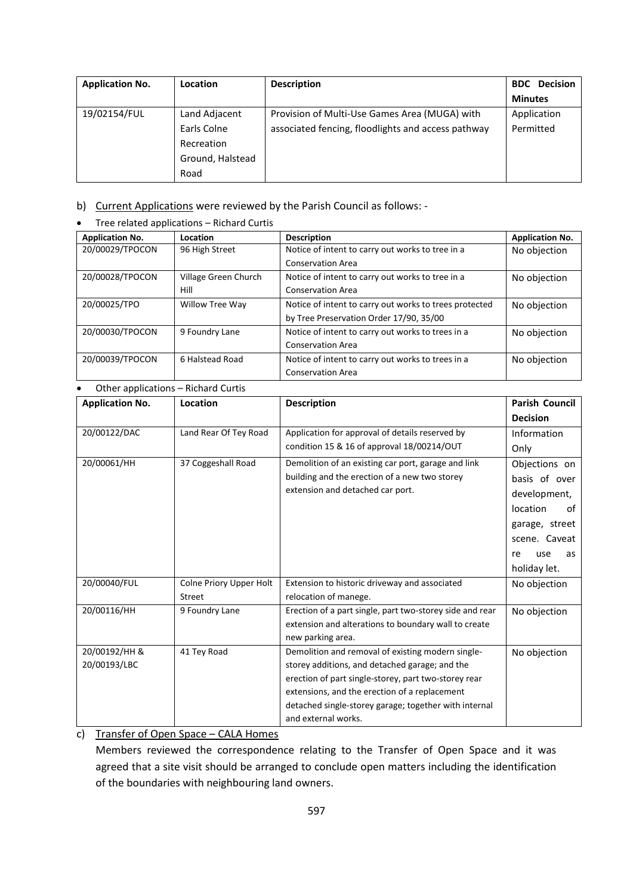| <b>Application No.</b> | Location         | <b>Description</b>                                 | <b>BDC</b> Decision |
|------------------------|------------------|----------------------------------------------------|---------------------|
|                        |                  |                                                    | <b>Minutes</b>      |
| 19/02154/FUL           | Land Adjacent    | Provision of Multi-Use Games Area (MUGA) with      | Application         |
|                        | Earls Colne      | associated fencing, floodlights and access pathway | Permitted           |
|                        | Recreation       |                                                    |                     |
|                        | Ground, Halstead |                                                    |                     |
|                        | Road             |                                                    |                     |

# b) Current Applications were reviewed by the Parish Council as follows: -

Tree related applications – Richard Curtis

| <b>Application No.</b> | Location             | <b>Description</b>                                     | <b>Application No.</b> |
|------------------------|----------------------|--------------------------------------------------------|------------------------|
| 20/00029/TPOCON        | 96 High Street       | Notice of intent to carry out works to tree in a       | No objection           |
|                        |                      | <b>Conservation Area</b>                               |                        |
| 20/00028/TPOCON        | Village Green Church | Notice of intent to carry out works to tree in a       | No objection           |
|                        | Hill                 | <b>Conservation Area</b>                               |                        |
| 20/00025/TPO           | Willow Tree Way      | Notice of intent to carry out works to trees protected | No objection           |
|                        |                      | by Tree Preservation Order 17/90, 35/00                |                        |
| 20/00030/TPOCON        | 9 Foundry Lane       | Notice of intent to carry out works to trees in a      | No objection           |
|                        |                      | <b>Conservation Area</b>                               |                        |
| 20/00039/TPOCON        | 6 Halstead Road      | Notice of intent to carry out works to trees in a      | No objection           |
|                        |                      | <b>Conservation Area</b>                               |                        |

# Other applications – Richard Curtis

| <b>Application No.</b> | Location                | <b>Description</b>                                       | <b>Parish Council</b> |
|------------------------|-------------------------|----------------------------------------------------------|-----------------------|
|                        |                         |                                                          | <b>Decision</b>       |
| 20/00122/DAC           | Land Rear Of Tey Road   | Application for approval of details reserved by          | Information           |
|                        |                         | condition 15 & 16 of approval 18/00214/OUT               | Only                  |
| 20/00061/HH            | 37 Coggeshall Road      | Demolition of an existing car port, garage and link      | Objections on         |
|                        |                         | building and the erection of a new two storey            | basis of over         |
|                        |                         | extension and detached car port.                         | development,          |
|                        |                         |                                                          | location<br>οf        |
|                        |                         |                                                          | garage, street        |
|                        |                         |                                                          | scene. Caveat         |
|                        |                         |                                                          | use<br>as<br>re       |
|                        |                         |                                                          | holiday let.          |
| 20/00040/FUL           | Colne Priory Upper Holt | Extension to historic driveway and associated            | No objection          |
|                        | Street                  | relocation of manege.                                    |                       |
| 20/00116/HH            | 9 Foundry Lane          | Erection of a part single, part two-storey side and rear | No objection          |
|                        |                         | extension and alterations to boundary wall to create     |                       |
|                        |                         | new parking area.                                        |                       |
| 20/00192/HH &          | 41 Tey Road             | Demolition and removal of existing modern single-        | No objection          |
| 20/00193/LBC           |                         | storey additions, and detached garage; and the           |                       |
|                        |                         | erection of part single-storey, part two-storey rear     |                       |
|                        |                         | extensions, and the erection of a replacement            |                       |
|                        |                         | detached single-storey garage; together with internal    |                       |
|                        |                         | and external works.                                      |                       |

## c) Transfer of Open Space – CALA Homes

Members reviewed the correspondence relating to the Transfer of Open Space and it was agreed that a site visit should be arranged to conclude open matters including the identification of the boundaries with neighbouring land owners.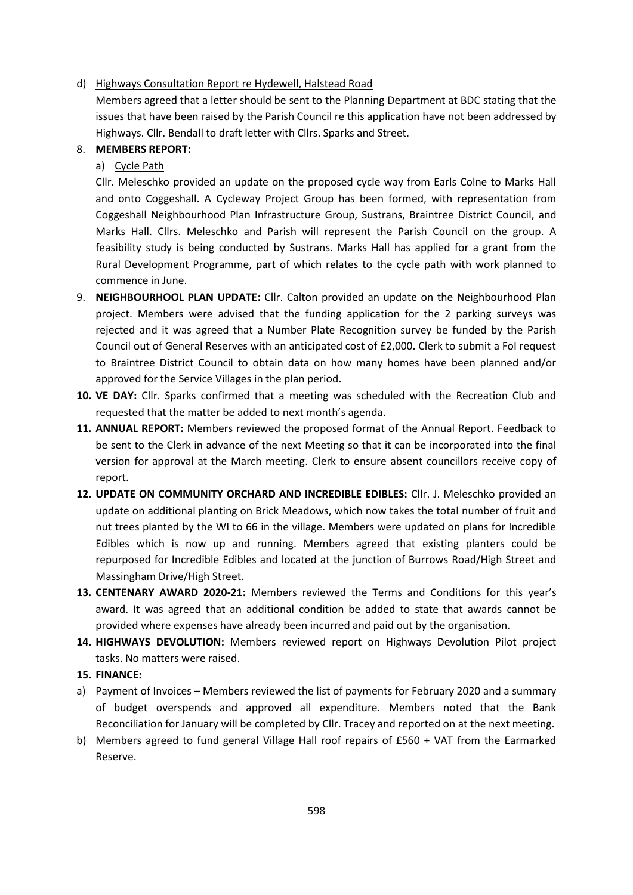#### d) Highways Consultation Report re Hydewell, Halstead Road

Members agreed that a letter should be sent to the Planning Department at BDC stating that the issues that have been raised by the Parish Council re this application have not been addressed by Highways. Cllr. Bendall to draft letter with Cllrs. Sparks and Street.

## 8. **MEMBERS REPORT:**

# a) Cycle Path

Cllr. Meleschko provided an update on the proposed cycle way from Earls Colne to Marks Hall and onto Coggeshall. A Cycleway Project Group has been formed, with representation from Coggeshall Neighbourhood Plan Infrastructure Group, Sustrans, Braintree District Council, and Marks Hall. Cllrs. Meleschko and Parish will represent the Parish Council on the group. A feasibility study is being conducted by Sustrans. Marks Hall has applied for a grant from the Rural Development Programme, part of which relates to the cycle path with work planned to commence in June.

- 9. **NEIGHBOURHOOL PLAN UPDATE:** Cllr. Calton provided an update on the Neighbourhood Plan project. Members were advised that the funding application for the 2 parking surveys was rejected and it was agreed that a Number Plate Recognition survey be funded by the Parish Council out of General Reserves with an anticipated cost of £2,000. Clerk to submit a FoI request to Braintree District Council to obtain data on how many homes have been planned and/or approved for the Service Villages in the plan period.
- **10. VE DAY:** Cllr. Sparks confirmed that a meeting was scheduled with the Recreation Club and requested that the matter be added to next month's agenda.
- **11. ANNUAL REPORT:** Members reviewed the proposed format of the Annual Report. Feedback to be sent to the Clerk in advance of the next Meeting so that it can be incorporated into the final version for approval at the March meeting. Clerk to ensure absent councillors receive copy of report.
- **12. UPDATE ON COMMUNITY ORCHARD AND INCREDIBLE EDIBLES:** Cllr. J. Meleschko provided an update on additional planting on Brick Meadows, which now takes the total number of fruit and nut trees planted by the WI to 66 in the village. Members were updated on plans for Incredible Edibles which is now up and running. Members agreed that existing planters could be repurposed for Incredible Edibles and located at the junction of Burrows Road/High Street and Massingham Drive/High Street.
- **13. CENTENARY AWARD 2020-21:** Members reviewed the Terms and Conditions for this year's award. It was agreed that an additional condition be added to state that awards cannot be provided where expenses have already been incurred and paid out by the organisation.
- **14. HIGHWAYS DEVOLUTION:** Members reviewed report on Highways Devolution Pilot project tasks. No matters were raised.
- **15. FINANCE:**
- a) Payment of Invoices Members reviewed the list of payments for February 2020 and a summary of budget overspends and approved all expenditure. Members noted that the Bank Reconciliation for January will be completed by Cllr. Tracey and reported on at the next meeting.
- b) Members agreed to fund general Village Hall roof repairs of £560 + VAT from the Earmarked Reserve.